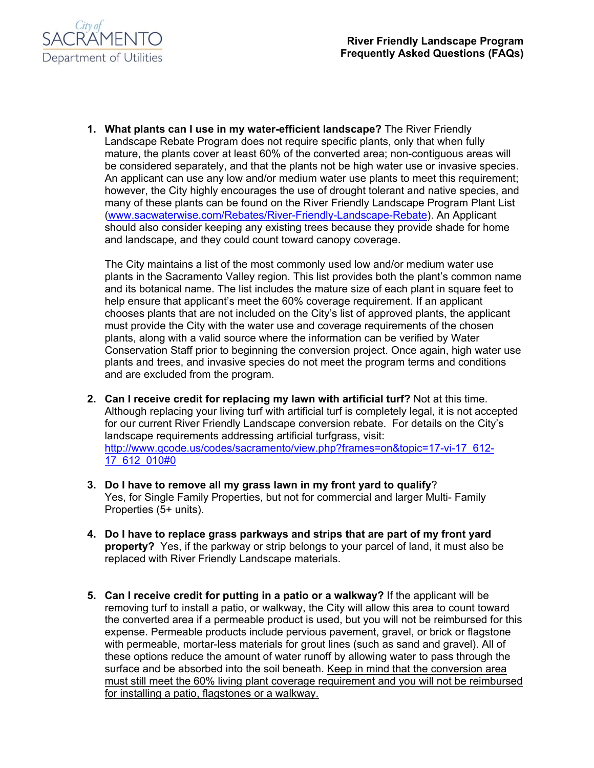

**1. What plants can I use in my water-efficient landscape?** The River Friendly Landscape Rebate Program does not require specific plants, only that when fully mature, the plants cover at least 60% of the converted area; non-contiguous areas will be considered separately, and that the plants not be high water use or invasive species. An applicant can use any low and/or medium water use plants to meet this requirement; however, the City highly encourages the use of drought tolerant and native species, and many of these plants can be found on the River Friendly Landscape Program Plant List (www.sacwaterwise.com/Rebates/River-Friendly-Landscape-Rebate). An Applicant should also consider keeping any existing trees because they provide shade for home and landscape, and they could count toward canopy coverage.

The City maintains a list of the most commonly used low and/or medium water use plants in the Sacramento Valley region. This list provides both the plant's common name and its botanical name. The list includes the mature size of each plant in square feet to help ensure that applicant's meet the 60% coverage requirement. If an applicant chooses plants that are not included on the City's list of approved plants, the applicant must provide the City with the water use and coverage requirements of the chosen plants, along with a valid source where the information can be verified by Water Conservation Staff prior to beginning the conversion project. Once again, high water use plants and trees, and invasive species do not meet the program terms and conditions and are excluded from the program.

- **2. Can I receive credit for replacing my lawn with artificial turf?** Not at this time. Although replacing your living turf with artificial turf is completely legal, it is not accepted for our current River Friendly Landscape conversion rebate. For details on the City's landscape requirements addressing artificial turfgrass, visit: http://www.gcode.us/codes/sacramento/view.php?frames=on&topic=17-vi-17\_612-17\_612\_010#0
- **3. Do I have to remove all my grass lawn in my front yard to qualify**? Yes, for Single Family Properties, but not for commercial and larger Multi- Family Properties (5+ units).
- **4. Do I have to replace grass parkways and strips that are part of my front yard property?** Yes, if the parkway or strip belongs to your parcel of land, it must also be replaced with River Friendly Landscape materials.
- **5. Can I receive credit for putting in a patio or a walkway?** If the applicant will be removing turf to install a patio, or walkway, the City will allow this area to count toward the converted area if a permeable product is used, but you will not be reimbursed for this expense. Permeable products include pervious pavement, gravel, or brick or flagstone with permeable, mortar-less materials for grout lines (such as sand and gravel). All of these options reduce the amount of water runoff by allowing water to pass through the surface and be absorbed into the soil beneath. Keep in mind that the conversion area must still meet the 60% living plant coverage requirement and you will not be reimbursed for installing a patio, flagstones or a walkway.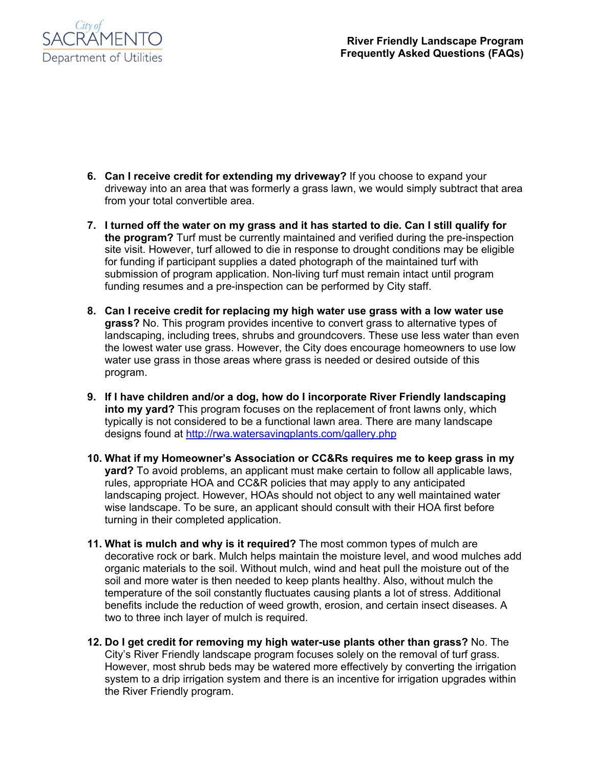

- **6. Can I receive credit for extending my driveway?** If you choose to expand your driveway into an area that was formerly a grass lawn, we would simply subtract that area from your total convertible area.
- **7. I turned off the water on my grass and it has started to die. Can I still qualify for the program?** Turf must be currently maintained and verified during the pre-inspection site visit. However, turf allowed to die in response to drought conditions may be eligible for funding if participant supplies a dated photograph of the maintained turf with submission of program application. Non-living turf must remain intact until program funding resumes and a pre-inspection can be performed by City staff.
- **8. Can I receive credit for replacing my high water use grass with a low water use grass?** No. This program provides incentive to convert grass to alternative types of landscaping, including trees, shrubs and groundcovers. These use less water than even the lowest water use grass. However, the City does encourage homeowners to use low water use grass in those areas where grass is needed or desired outside of this program.
- **9. If I have children and/or a dog, how do I incorporate River Friendly landscaping into my yard?** This program focuses on the replacement of front lawns only, which typically is not considered to be a functional lawn area. There are many landscape designs found at http://rwa.watersavingplants.com/gallery.php
- **10. What if my Homeowner's Association or CC&Rs requires me to keep grass in my yard?** To avoid problems, an applicant must make certain to follow all applicable laws, rules, appropriate HOA and CC&R policies that may apply to any anticipated landscaping project. However, HOAs should not object to any well maintained water wise landscape. To be sure, an applicant should consult with their HOA first before turning in their completed application.
- **11. What is mulch and why is it required?** The most common types of mulch are decorative rock or bark. Mulch helps maintain the moisture level, and wood mulches add organic materials to the soil. Without mulch, wind and heat pull the moisture out of the soil and more water is then needed to keep plants healthy. Also, without mulch the temperature of the soil constantly fluctuates causing plants a lot of stress. Additional benefits include the reduction of weed growth, erosion, and certain insect diseases. A two to three inch layer of mulch is required.
- **12. Do I get credit for removing my high water-use plants other than grass?** No. The City's River Friendly landscape program focuses solely on the removal of turf grass. However, most shrub beds may be watered more effectively by converting the irrigation system to a drip irrigation system and there is an incentive for irrigation upgrades within the River Friendly program.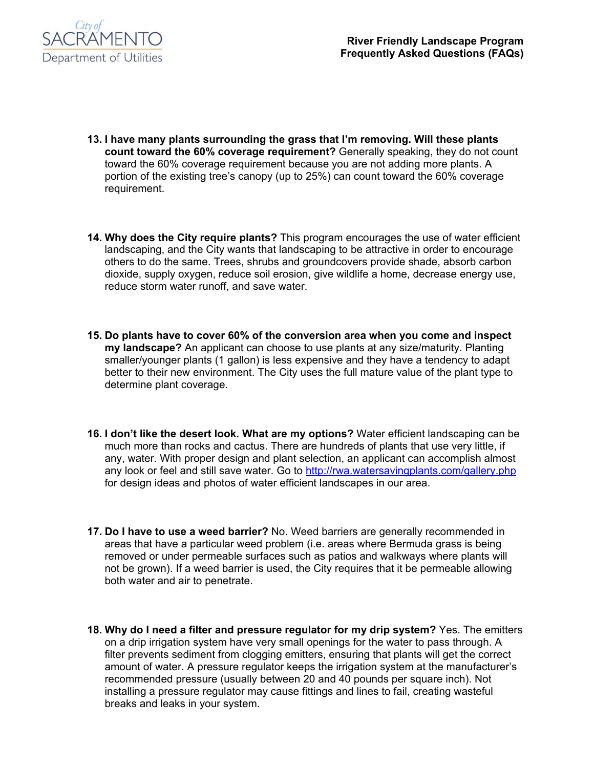

- **13. I have many plants surrounding the grass that I'm removing. Will these plants count toward the 60% coverage requirement?** Generally speaking, they do not count toward the 60% coverage requirement because you are not adding more plants. A portion of the existing tree's canopy (up to 25%) can count toward the 60% coverage requirement.
- **14. Why does the City require plants?** This program encourages the use of water efficient landscaping, and the City wants that landscaping to be attractive in order to encourage others to do the same. Trees, shrubs and groundcovers provide shade, absorb carbon dioxide, supply oxygen, reduce soil erosion, give wildlife a home, decrease energy use, reduce storm water runoff, and save water.
- **15. Do plants have to cover 60% of the conversion area when you come and inspect my landscape?** An applicant can choose to use plants at any size/maturity. Planting smaller/younger plants (1 gallon) is less expensive and they have a tendency to adapt better to their new environment. The City uses the full mature value of the plant type to determine plant coverage.
- **16. I don't like the desert look. What are my options?** Water efficient landscaping can be much more than rocks and cactus. There are hundreds of plants that use very little, if any, water. With proper design and plant selection, an applicant can accomplish almost any look or feel and still save water. Go to http://rwa.watersavingplants.com/gallery.php for design ideas and photos of water efficient landscapes in our area.
- **17. Do I have to use a weed barrier?** No. Weed barriers are generally recommended in areas that have a particular weed problem (i.e. areas where Bermuda grass is being removed or under permeable surfaces such as patios and walkways where plants will not be grown). If a weed barrier is used, the City requires that it be permeable allowing both water and air to penetrate.
- **18. Why do I need a filter and pressure regulator for my drip system?** Yes. The emitters on a drip irrigation system have very small openings for the water to pass through. A filter prevents sediment from clogging emitters, ensuring that plants will get the correct amount of water. A pressure regulator keeps the irrigation system at the manufacturer's recommended pressure (usually between 20 and 40 pounds per square inch). Not installing a pressure regulator may cause fittings and lines to fail, creating wasteful breaks and leaks in your system.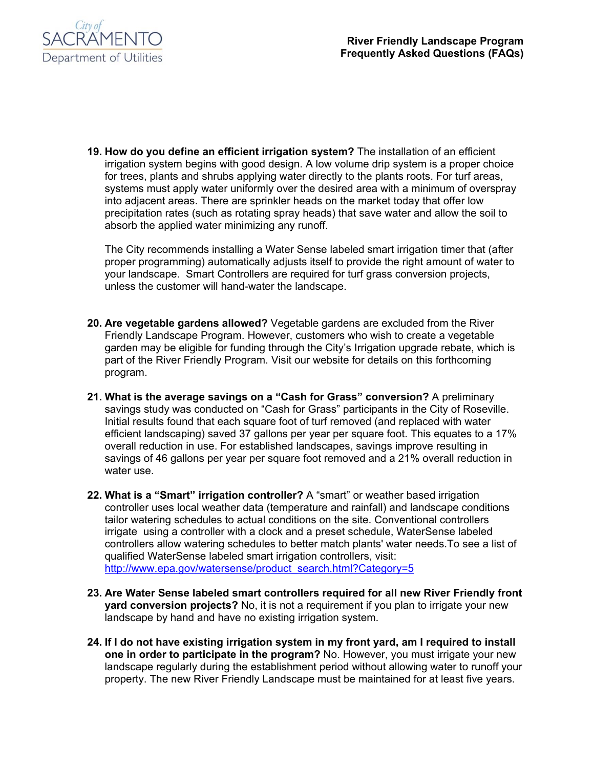

**19. How do you define an efficient irrigation system?** The installation of an efficient irrigation system begins with good design. A low volume drip system is a proper choice for trees, plants and shrubs applying water directly to the plants roots. For turf areas, systems must apply water uniformly over the desired area with a minimum of overspray into adjacent areas. There are sprinkler heads on the market today that offer low precipitation rates (such as rotating spray heads) that save water and allow the soil to absorb the applied water minimizing any runoff.

The City recommends installing a Water Sense labeled smart irrigation timer that (after proper programming) automatically adjusts itself to provide the right amount of water to your landscape. Smart Controllers are required for turf grass conversion projects, unless the customer will hand-water the landscape.

- **20. Are vegetable gardens allowed?** Vegetable gardens are excluded from the River Friendly Landscape Program. However, customers who wish to create a vegetable garden may be eligible for funding through the City's Irrigation upgrade rebate, which is part of the River Friendly Program. Visit our website for details on this forthcoming program.
- **21. What is the average savings on a "Cash for Grass" conversion?** A preliminary savings study was conducted on "Cash for Grass" participants in the City of Roseville. Initial results found that each square foot of turf removed (and replaced with water efficient landscaping) saved 37 gallons per year per square foot. This equates to a 17% overall reduction in use. For established landscapes, savings improve resulting in savings of 46 gallons per year per square foot removed and a 21% overall reduction in water use.
- **22. What is a "Smart" irrigation controller?** A "smart" or weather based irrigation controller uses local weather data (temperature and rainfall) and landscape conditions tailor watering schedules to actual conditions on the site. Conventional controllers irrigate using a controller with a clock and a preset schedule, WaterSense labeled controllers allow watering schedules to better match plants' water needs.To see a list of qualified WaterSense labeled smart irrigation controllers, visit: http://www.epa.gov/watersense/product\_search.html?Category=5
- **23. Are Water Sense labeled smart controllers required for all new River Friendly front yard conversion projects?** No, it is not a requirement if you plan to irrigate your new landscape by hand and have no existing irrigation system.
- **24. If I do not have existing irrigation system in my front yard, am I required to install one in order to participate in the program?** No. However, you must irrigate your new landscape regularly during the establishment period without allowing water to runoff your property. The new River Friendly Landscape must be maintained for at least five years.